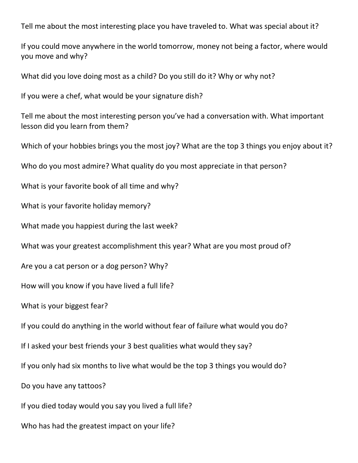Tell me about the most interesting place you have traveled to. What was special about it?

If you could move anywhere in the world tomorrow, money not being a factor, where would you move and why?

What did you love doing most as a child? Do you still do it? Why or why not?

If you were a chef, what would be your signature dish?

Tell me about the most interesting person you've had a conversation with. What important lesson did you learn from them?

Which of your hobbies brings you the most joy? What are the top 3 things you enjoy about it?

Who do you most admire? What quality do you most appreciate in that person?

What is your favorite book of all time and why?

What is your favorite holiday memory?

What made you happiest during the last week?

What was your greatest accomplishment this year? What are you most proud of?

Are you a cat person or a dog person? Why?

How will you know if you have lived a full life?

What is your biggest fear?

If you could do anything in the world without fear of failure what would you do?

If I asked your best friends your 3 best qualities what would they say?

If you only had six months to live what would be the top 3 things you would do?

Do you have any tattoos?

If you died today would you say you lived a full life?

Who has had the greatest impact on your life?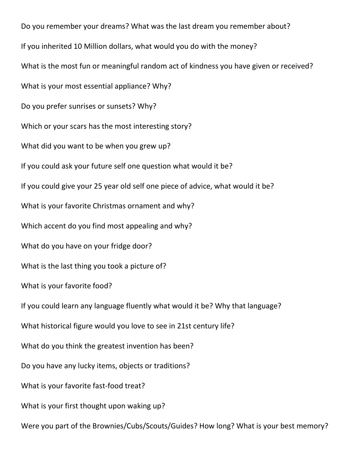Do you remember your dreams? What was the last dream you remember about? If you inherited 10 Million dollars, what would you do with the money? What is the most fun or meaningful random act of kindness you have given or received? What is your most essential appliance? Why? Do you prefer sunrises or sunsets? Why? Which or your scars has the most interesting story? What did you want to be when you grew up? If you could ask your future self one question what would it be? If you could give your 25 year old self one piece of advice, what would it be? What is your favorite Christmas ornament and why? Which accent do you find most appealing and why? What do you have on your fridge door? What is the last thing you took a picture of? What is your favorite food? If you could learn any language fluently what would it be? Why that language? What historical figure would you love to see in 21st century life? What do you think the greatest invention has been? Do you have any lucky items, objects or traditions? What is your favorite fast-food treat? What is your first thought upon waking up? Were you part of the Brownies/Cubs/Scouts/Guides? How long? What is your best memory?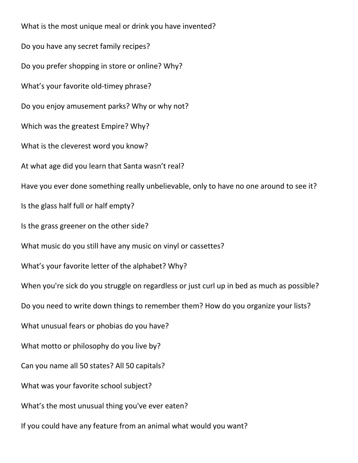What is the most unique meal or drink you have invented? Do you have any secret family recipes? Do you prefer shopping in store or online? Why? What's your favorite old-timey phrase? Do you enjoy amusement parks? Why or why not? Which was the greatest Empire? Why? What is the cleverest word you know? At what age did you learn that Santa wasn't real? Have you ever done something really unbelievable, only to have no one around to see it? Is the glass half full or half empty? Is the grass greener on the other side? What music do you still have any music on vinyl or cassettes? What's your favorite letter of the alphabet? Why? When you're sick do you struggle on regardless or just curl up in bed as much as possible? Do you need to write down things to remember them? How do you organize your lists? What unusual fears or phobias do you have? What motto or philosophy do you live by? Can you name all 50 states? All 50 capitals? What was your favorite school subject? What's the most unusual thing you've ever eaten? If you could have any feature from an animal what would you want?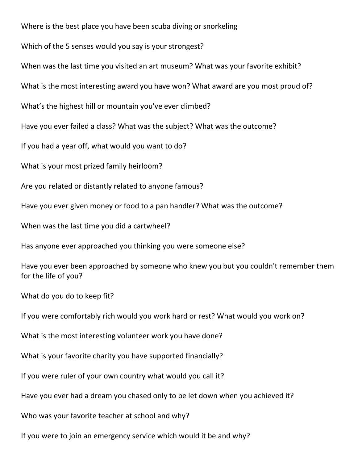Where is the best place you have been scuba diving or snorkeling

Which of the 5 senses would you say is your strongest?

When was the last time you visited an art museum? What was your favorite exhibit?

What is the most interesting award you have won? What award are you most proud of?

What's the highest hill or mountain you've ever climbed?

Have you ever failed a class? What was the subject? What was the outcome?

If you had a year off, what would you want to do?

What is your most prized family heirloom?

Are you related or distantly related to anyone famous?

Have you ever given money or food to a pan handler? What was the outcome?

When was the last time you did a cartwheel?

Has anyone ever approached you thinking you were someone else?

Have you ever been approached by someone who knew you but you couldn't remember them for the life of you?

What do you do to keep fit?

If you were comfortably rich would you work hard or rest? What would you work on?

What is the most interesting volunteer work you have done?

What is your favorite charity you have supported financially?

If you were ruler of your own country what would you call it?

Have you ever had a dream you chased only to be let down when you achieved it?

Who was your favorite teacher at school and why?

If you were to join an emergency service which would it be and why?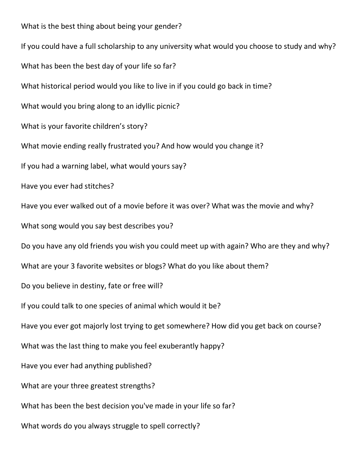What is the best thing about being your gender? If you could have a full scholarship to any university what would you choose to study and why? What has been the best day of your life so far? What historical period would you like to live in if you could go back in time? What would you bring along to an idyllic picnic? What is your favorite children's story? What movie ending really frustrated you? And how would you change it? If you had a warning label, what would yours say? Have you ever had stitches? Have you ever walked out of a movie before it was over? What was the movie and why? What song would you say best describes you? Do you have any old friends you wish you could meet up with again? Who are they and why? What are your 3 favorite websites or blogs? What do you like about them? Do you believe in destiny, fate or free will? If you could talk to one species of animal which would it be? Have you ever got majorly lost trying to get somewhere? How did you get back on course? What was the last thing to make you feel exuberantly happy? Have you ever had anything published? What are your three greatest strengths? What has been the best decision you've made in your life so far? What words do you always struggle to spell correctly?